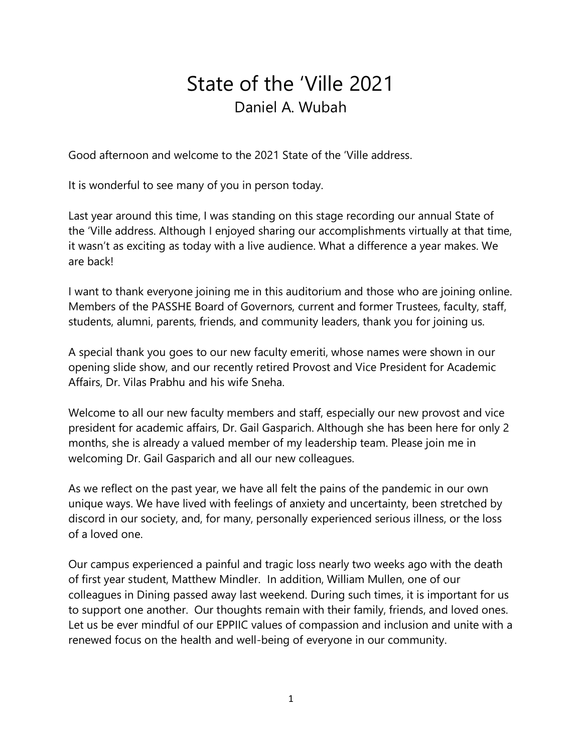## State of the 'Ville 2021 Daniel A. Wubah

Good afternoon and welcome to the 2021 State of the 'Ville address.

It is wonderful to see many of you in person today.

Last year around this time, I was standing on this stage recording our annual State of the 'Ville address. Although I enjoyed sharing our accomplishments virtually at that time, it wasn't as exciting as today with a live audience. What a difference a year makes. We are back!

I want to thank everyone joining me in this auditorium and those who are joining online. Members of the PASSHE Board of Governors, current and former Trustees, faculty, staff, students, alumni, parents, friends, and community leaders, thank you for joining us.

A special thank you goes to our new faculty emeriti, whose names were shown in our opening slide show, and our recently retired Provost and Vice President for Academic Affairs, Dr. Vilas Prabhu and his wife Sneha.

Welcome to all our new faculty members and staff, especially our new provost and vice president for academic affairs, Dr. Gail Gasparich. Although she has been here for only 2 months, she is already a valued member of my leadership team. Please join me in welcoming Dr. Gail Gasparich and all our new colleagues.

As we reflect on the past year, we have all felt the pains of the pandemic in our own unique ways. We have lived with feelings of anxiety and uncertainty, been stretched by discord in our society, and, for many, personally experienced serious illness, or the loss of a loved one.

Our campus experienced a painful and tragic loss nearly two weeks ago with the death of first year student, Matthew Mindler. In addition, William Mullen, one of our colleagues in Dining passed away last weekend. During such times, it is important for us to support one another. Our thoughts remain with their family, friends, and loved ones. Let us be ever mindful of our EPPIIC values of compassion and inclusion and unite with a renewed focus on the health and well-being of everyone in our community.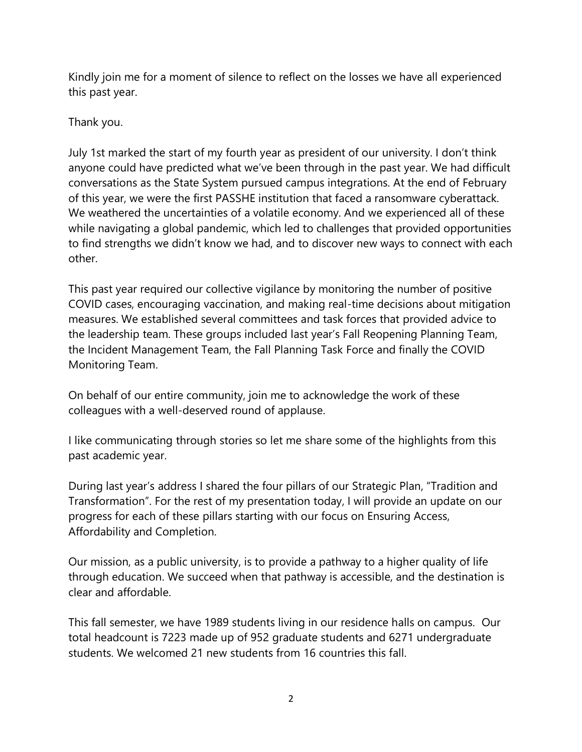Kindly join me for a moment of silence to reflect on the losses we have all experienced this past year.

Thank you.

July 1st marked the start of my fourth year as president of our university. I don't think anyone could have predicted what we've been through in the past year. We had difficult conversations as the State System pursued campus integrations. At the end of February of this year, we were the first PASSHE institution that faced a ransomware cyberattack. We weathered the uncertainties of a volatile economy. And we experienced all of these while navigating a global pandemic, which led to challenges that provided opportunities to find strengths we didn't know we had, and to discover new ways to connect with each other.

This past year required our collective vigilance by monitoring the number of positive COVID cases, encouraging vaccination, and making real-time decisions about mitigation measures. We established several committees and task forces that provided advice to the leadership team. These groups included last year's Fall Reopening Planning Team, the Incident Management Team, the Fall Planning Task Force and finally the COVID Monitoring Team.

On behalf of our entire community, join me to acknowledge the work of these colleagues with a well-deserved round of applause.

I like communicating through stories so let me share some of the highlights from this past academic year.

During last year's address I shared the four pillars of our Strategic Plan, "Tradition and Transformation". For the rest of my presentation today, I will provide an update on our progress for each of these pillars starting with our focus on Ensuring Access, Affordability and Completion.

Our mission, as a public university, is to provide a pathway to a higher quality of life through education. We succeed when that pathway is accessible, and the destination is clear and affordable.

This fall semester, we have 1989 students living in our residence halls on campus. Our total headcount is 7223 made up of 952 graduate students and 6271 undergraduate students. We welcomed 21 new students from 16 countries this fall.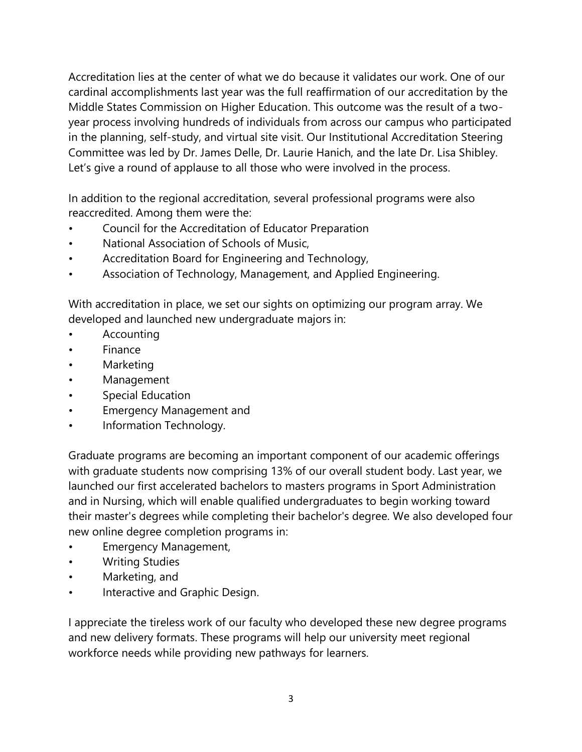Accreditation lies at the center of what we do because it validates our work. One of our cardinal accomplishments last year was the full reaffirmation of our accreditation by the Middle States Commission on Higher Education. This outcome was the result of a twoyear process involving hundreds of individuals from across our campus who participated in the planning, self-study, and virtual site visit. Our Institutional Accreditation Steering Committee was led by Dr. James Delle, Dr. Laurie Hanich, and the late Dr. Lisa Shibley. Let's give a round of applause to all those who were involved in the process.

In addition to the regional accreditation, several professional programs were also reaccredited. Among them were the:

- Council for the Accreditation of Educator Preparation
- National Association of Schools of Music,
- Accreditation Board for Engineering and Technology,
- Association of Technology, Management, and Applied Engineering.

With accreditation in place, we set our sights on optimizing our program array. We developed and launched new undergraduate majors in:

- Accounting
- **Finance**
- **Marketing**
- **Management**
- Special Education
- Emergency Management and
- Information Technology.

Graduate programs are becoming an important component of our academic offerings with graduate students now comprising 13% of our overall student body. Last year, we launched our first accelerated bachelors to masters programs in Sport Administration and in Nursing, which will enable qualified undergraduates to begin working toward their master's degrees while completing their bachelor's degree. We also developed four new online degree completion programs in:

- Emergency Management,
- Writing Studies
- Marketing, and
- Interactive and Graphic Design.

I appreciate the tireless work of our faculty who developed these new degree programs and new delivery formats. These programs will help our university meet regional workforce needs while providing new pathways for learners.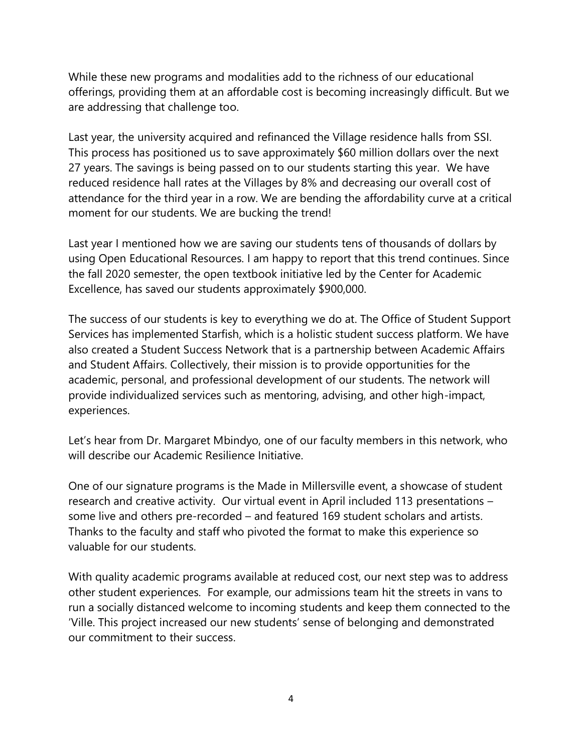While these new programs and modalities add to the richness of our educational offerings, providing them at an affordable cost is becoming increasingly difficult. But we are addressing that challenge too.

Last year, the university acquired and refinanced the Village residence halls from SSI. This process has positioned us to save approximately \$60 million dollars over the next 27 years. The savings is being passed on to our students starting this year. We have reduced residence hall rates at the Villages by 8% and decreasing our overall cost of attendance for the third year in a row. We are bending the affordability curve at a critical moment for our students. We are bucking the trend!

Last year I mentioned how we are saving our students tens of thousands of dollars by using Open Educational Resources. I am happy to report that this trend continues. Since the fall 2020 semester, the open textbook initiative led by the Center for Academic Excellence, has saved our students approximately \$900,000.

The success of our students is key to everything we do at. The Office of Student Support Services has implemented Starfish, which is a holistic student success platform. We have also created a Student Success Network that is a partnership between Academic Affairs and Student Affairs. Collectively, their mission is to provide opportunities for the academic, personal, and professional development of our students. The network will provide individualized services such as mentoring, advising, and other high-impact, experiences.

Let's hear from Dr. Margaret Mbindyo, one of our faculty members in this network, who will describe our Academic Resilience Initiative.

One of our signature programs is the Made in Millersville event, a showcase of student research and creative activity. Our virtual event in April included 113 presentations – some live and others pre-recorded – and featured 169 student scholars and artists. Thanks to the faculty and staff who pivoted the format to make this experience so valuable for our students.

With quality academic programs available at reduced cost, our next step was to address other student experiences. For example, our admissions team hit the streets in vans to run a socially distanced welcome to incoming students and keep them connected to the 'Ville. This project increased our new students' sense of belonging and demonstrated our commitment to their success.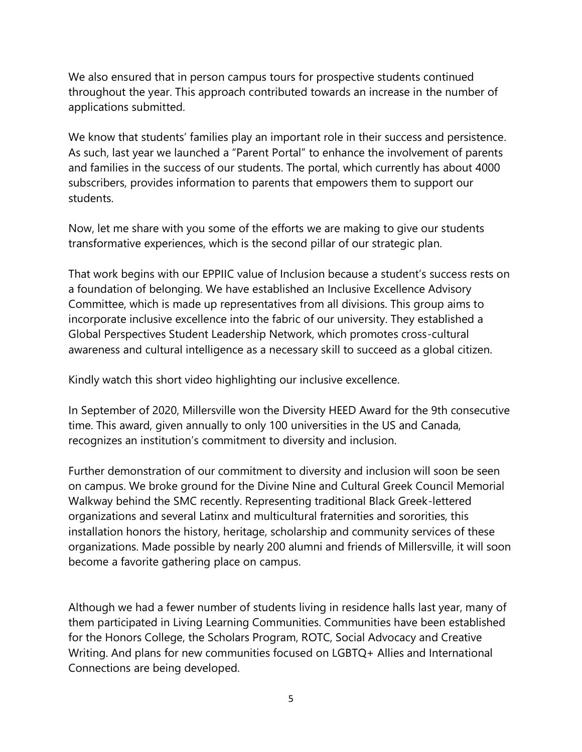We also ensured that in person campus tours for prospective students continued throughout the year. This approach contributed towards an increase in the number of applications submitted.

We know that students' families play an important role in their success and persistence. As such, last year we launched a "Parent Portal" to enhance the involvement of parents and families in the success of our students. The portal, which currently has about 4000 subscribers, provides information to parents that empowers them to support our students.

Now, let me share with you some of the efforts we are making to give our students transformative experiences, which is the second pillar of our strategic plan.

That work begins with our EPPIIC value of Inclusion because a student's success rests on a foundation of belonging. We have established an Inclusive Excellence Advisory Committee, which is made up representatives from all divisions. This group aims to incorporate inclusive excellence into the fabric of our university. They established a Global Perspectives Student Leadership Network, which promotes cross-cultural awareness and cultural intelligence as a necessary skill to succeed as a global citizen.

Kindly watch this short video highlighting our inclusive excellence.

In September of 2020, Millersville won the Diversity HEED Award for the 9th consecutive time. This award, given annually to only 100 universities in the US and Canada, recognizes an institution's commitment to diversity and inclusion.

Further demonstration of our commitment to diversity and inclusion will soon be seen on campus. We broke ground for the Divine Nine and Cultural Greek Council Memorial Walkway behind the SMC recently. Representing traditional Black Greek-lettered organizations and several Latinx and multicultural fraternities and sororities, this installation honors the history, heritage, scholarship and community services of these organizations. Made possible by nearly 200 alumni and friends of Millersville, it will soon become a favorite gathering place on campus.

Although we had a fewer number of students living in residence halls last year, many of them participated in Living Learning Communities. Communities have been established for the Honors College, the Scholars Program, ROTC, Social Advocacy and Creative Writing. And plans for new communities focused on LGBTQ+ Allies and International Connections are being developed.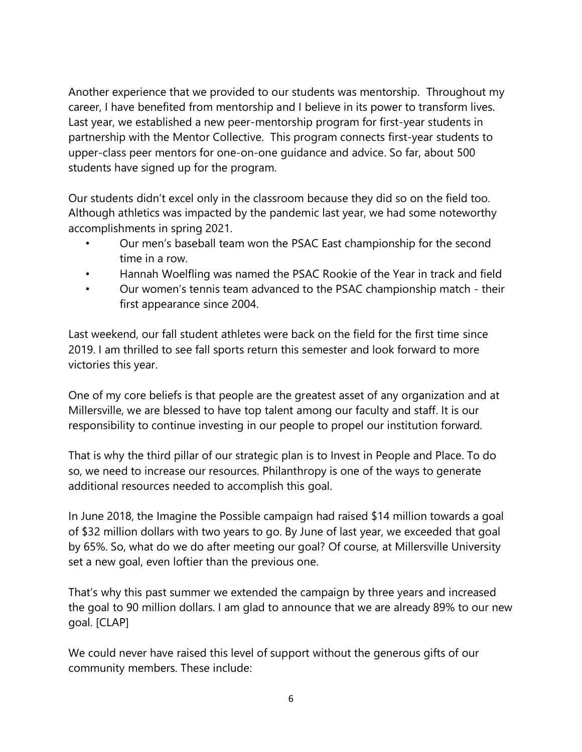Another experience that we provided to our students was mentorship. Throughout my career, I have benefited from mentorship and I believe in its power to transform lives. Last year, we established a new peer-mentorship program for first-year students in partnership with the Mentor Collective. This program connects first-year students to upper-class peer mentors for one-on-one guidance and advice. So far, about 500 students have signed up for the program.

Our students didn't excel only in the classroom because they did so on the field too. Although athletics was impacted by the pandemic last year, we had some noteworthy accomplishments in spring 2021.

- Our men's baseball team won the PSAC East championship for the second time in a row.
- Hannah Woelfling was named the PSAC Rookie of the Year in track and field
- Our women's tennis team advanced to the PSAC championship match their first appearance since 2004.

Last weekend, our fall student athletes were back on the field for the first time since 2019. I am thrilled to see fall sports return this semester and look forward to more victories this year.

One of my core beliefs is that people are the greatest asset of any organization and at Millersville, we are blessed to have top talent among our faculty and staff. It is our responsibility to continue investing in our people to propel our institution forward.

That is why the third pillar of our strategic plan is to Invest in People and Place. To do so, we need to increase our resources. Philanthropy is one of the ways to generate additional resources needed to accomplish this goal.

In June 2018, the Imagine the Possible campaign had raised \$14 million towards a goal of \$32 million dollars with two years to go. By June of last year, we exceeded that goal by 65%. So, what do we do after meeting our goal? Of course, at Millersville University set a new goal, even loftier than the previous one.

That's why this past summer we extended the campaign by three years and increased the goal to 90 million dollars. I am glad to announce that we are already 89% to our new goal. [CLAP]

We could never have raised this level of support without the generous gifts of our community members. These include: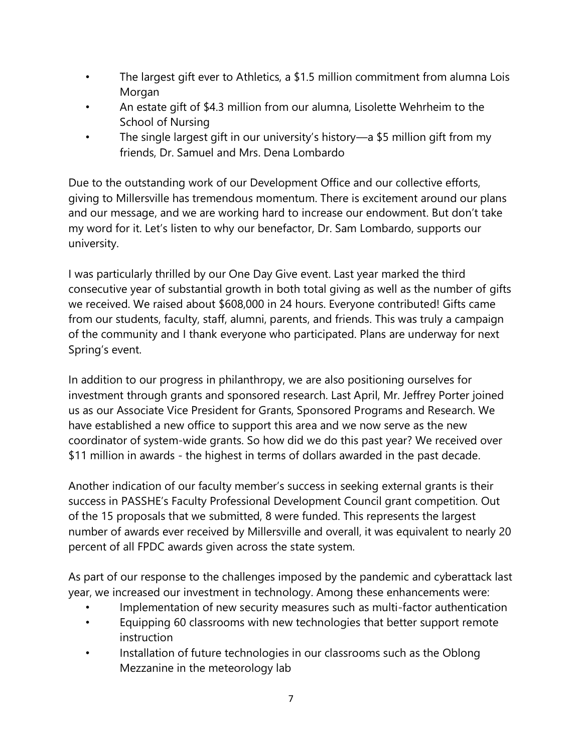- The largest gift ever to Athletics, a \$1.5 million commitment from alumna Lois Morgan
- An estate gift of \$4.3 million from our alumna, Lisolette Wehrheim to the School of Nursing
- The single largest gift in our university's history—a \$5 million gift from my friends, Dr. Samuel and Mrs. Dena Lombardo

Due to the outstanding work of our Development Office and our collective efforts, giving to Millersville has tremendous momentum. There is excitement around our plans and our message, and we are working hard to increase our endowment. But don't take my word for it. Let's listen to why our benefactor, Dr. Sam Lombardo, supports our university.

I was particularly thrilled by our One Day Give event. Last year marked the third consecutive year of substantial growth in both total giving as well as the number of gifts we received. We raised about \$608,000 in 24 hours. Everyone contributed! Gifts came from our students, faculty, staff, alumni, parents, and friends. This was truly a campaign of the community and I thank everyone who participated. Plans are underway for next Spring's event.

In addition to our progress in philanthropy, we are also positioning ourselves for investment through grants and sponsored research. Last April, Mr. Jeffrey Porter joined us as our Associate Vice President for Grants, Sponsored Programs and Research. We have established a new office to support this area and we now serve as the new coordinator of system-wide grants. So how did we do this past year? We received over \$11 million in awards - the highest in terms of dollars awarded in the past decade.

Another indication of our faculty member's success in seeking external grants is their success in PASSHE's Faculty Professional Development Council grant competition. Out of the 15 proposals that we submitted, 8 were funded. This represents the largest number of awards ever received by Millersville and overall, it was equivalent to nearly 20 percent of all FPDC awards given across the state system.

As part of our response to the challenges imposed by the pandemic and cyberattack last year, we increased our investment in technology. Among these enhancements were:

- Implementation of new security measures such as multi-factor authentication
- Equipping 60 classrooms with new technologies that better support remote instruction
- Installation of future technologies in our classrooms such as the Oblong Mezzanine in the meteorology lab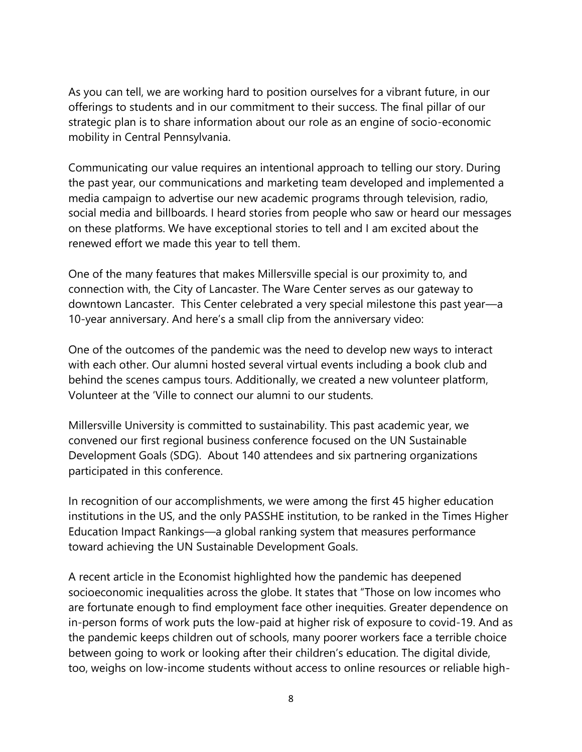As you can tell, we are working hard to position ourselves for a vibrant future, in our offerings to students and in our commitment to their success. The final pillar of our strategic plan is to share information about our role as an engine of socio-economic mobility in Central Pennsylvania.

Communicating our value requires an intentional approach to telling our story. During the past year, our communications and marketing team developed and implemented a media campaign to advertise our new academic programs through television, radio, social media and billboards. I heard stories from people who saw or heard our messages on these platforms. We have exceptional stories to tell and I am excited about the renewed effort we made this year to tell them.

One of the many features that makes Millersville special is our proximity to, and connection with, the City of Lancaster. The Ware Center serves as our gateway to downtown Lancaster. This Center celebrated a very special milestone this past year—a 10-year anniversary. And here's a small clip from the anniversary video:

One of the outcomes of the pandemic was the need to develop new ways to interact with each other. Our alumni hosted several virtual events including a book club and behind the scenes campus tours. Additionally, we created a new volunteer platform, Volunteer at the 'Ville to connect our alumni to our students.

Millersville University is committed to sustainability. This past academic year, we convened our first regional business conference focused on the UN Sustainable Development Goals (SDG). About 140 attendees and six partnering organizations participated in this conference.

In recognition of our accomplishments, we were among the first 45 higher education institutions in the US, and the only PASSHE institution, to be ranked in the Times Higher Education Impact Rankings—a global ranking system that measures performance toward achieving the UN Sustainable Development Goals.

A recent article in the Economist highlighted how the pandemic has deepened socioeconomic inequalities across the globe. It states that "Those on low incomes who are fortunate enough to find employment face other inequities. Greater dependence on in-person forms of work puts the low-paid at higher risk of exposure to covid-19. And as the pandemic keeps children out of schools, many poorer workers face a terrible choice between going to work or looking after their children's education. The digital divide, too, weighs on low-income students without access to online resources or reliable high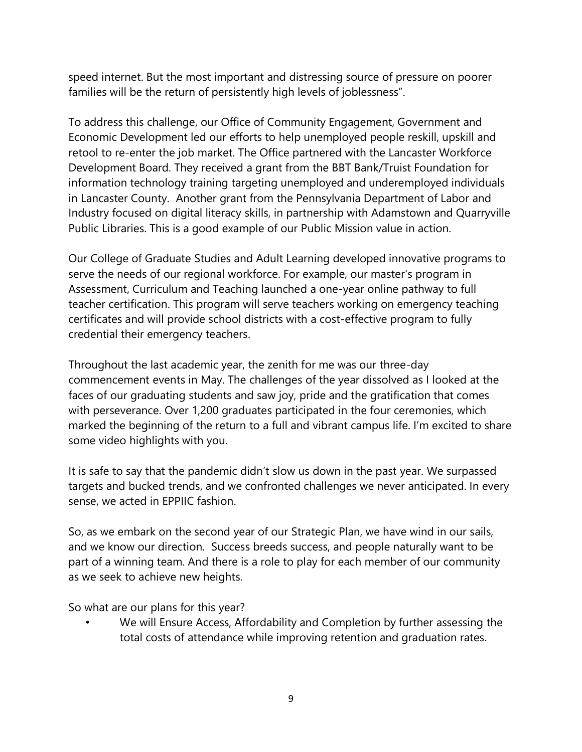speed internet. But the most important and distressing source of pressure on poorer families will be the return of persistently high levels of joblessness".

To address this challenge, our Office of Community Engagement, Government and Economic Development led our efforts to help unemployed people reskill, upskill and retool to re-enter the job market. The Office partnered with the Lancaster Workforce Development Board. They received a grant from the BBT Bank/Truist Foundation for information technology training targeting unemployed and underemployed individuals in Lancaster County. Another grant from the Pennsylvania Department of Labor and Industry focused on digital literacy skills, in partnership with Adamstown and Quarryville Public Libraries. This is a good example of our Public Mission value in action.

Our College of Graduate Studies and Adult Learning developed innovative programs to serve the needs of our regional workforce. For example, our master's program in Assessment, Curriculum and Teaching launched a one-year online pathway to full teacher certification. This program will serve teachers working on emergency teaching certificates and will provide school districts with a cost-effective program to fully credential their emergency teachers.

Throughout the last academic year, the zenith for me was our three-day commencement events in May. The challenges of the year dissolved as I looked at the faces of our graduating students and saw joy, pride and the gratification that comes with perseverance. Over 1,200 graduates participated in the four ceremonies, which marked the beginning of the return to a full and vibrant campus life. I'm excited to share some video highlights with you.

It is safe to say that the pandemic didn't slow us down in the past year. We surpassed targets and bucked trends, and we confronted challenges we never anticipated. In every sense, we acted in EPPIIC fashion.

So, as we embark on the second year of our Strategic Plan, we have wind in our sails, and we know our direction. Success breeds success, and people naturally want to be part of a winning team. And there is a role to play for each member of our community as we seek to achieve new heights.

So what are our plans for this year?

We will Ensure Access, Affordability and Completion by further assessing the total costs of attendance while improving retention and graduation rates.